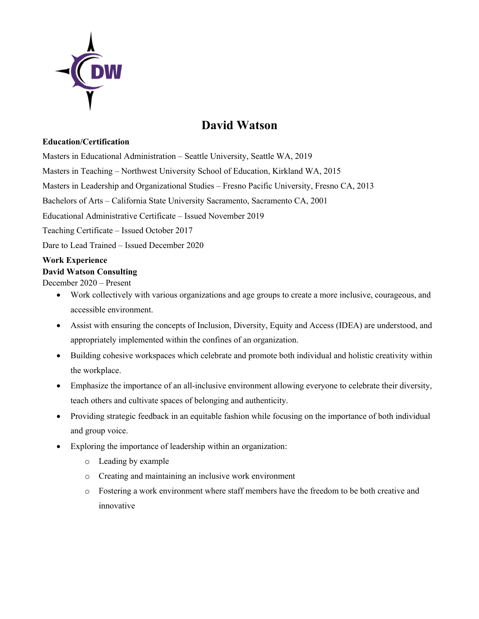

# **David Watson**

#### **Education/Certification**

Masters in Educational Administration – Seattle University, Seattle WA, 2019

Masters in Teaching – Northwest University School of Education, Kirkland WA, 2015

Masters in Leadership and Organizational Studies – Fresno Pacific University, Fresno CA, 2013

Bachelors of Arts – California State University Sacramento, Sacramento CA, 2001

Educational Administrative Certificate – Issued November 2019

Teaching Certificate – Issued October 2017

Dare to Lead Trained – Issued December 2020

## **Work Experience**

### **David Watson Consulting**

December 2020 – Present

- Work collectively with various organizations and age groups to create a more inclusive, courageous, and accessible environment.
- Assist with ensuring the concepts of Inclusion, Diversity, Equity and Access (IDEA) are understood, and appropriately implemented within the confines of an organization.
- Building cohesive workspaces which celebrate and promote both individual and holistic creativity within the workplace.
- Emphasize the importance of an all-inclusive environment allowing everyone to celebrate their diversity, teach others and cultivate spaces of belonging and authenticity.
- Providing strategic feedback in an equitable fashion while focusing on the importance of both individual and group voice.
- Exploring the importance of leadership within an organization:
	- o Leading by example
	- o Creating and maintaining an inclusive work environment
	- o Fostering a work environment where staff members have the freedom to be both creative and innovative